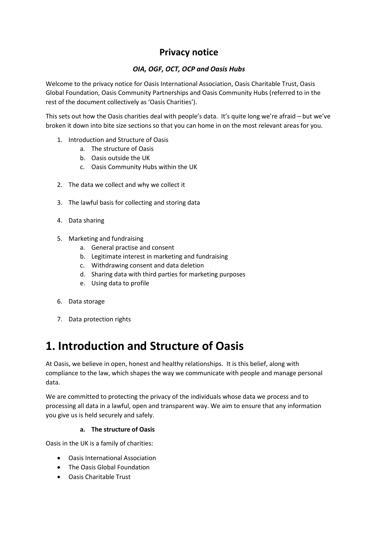### **Privacy notice**

### *OIA, OGF, OCT, OCP and Oasis Hubs*

Welcome to the privacy notice for Oasis International Association, Oasis Charitable Trust, Oasis Global Foundation, Oasis Community Partnerships and Oasis Community Hubs (referred to in the rest of the document collectively as 'Oasis Charities').

This sets out how the Oasis charities deal with people's data. It's quite long we're afraid – but we've broken it down into bite size sections so that you can home in on the most relevant areas for you.

- 1. Introduction and Structure of Oasis
	- a. The structure of Oasis
	- b. Oasis outside the UK
	- c. Oasis Community Hubs within the UK
- 2. The data we collect and why we collect it
- 3. The lawful basis for collecting and storing data
- 4. Data sharing
- 5. Marketing and fundraising
	- a. General practise and consent
	- b. Legitimate interest in marketing and fundraising
	- c. Withdrawing consent and data deletion
	- d. Sharing data with third parties for marketing purposes
	- e. Using data to profile
- 6. Data storage
- 7. Data protection rights

### **1. Introduction and Structure of Oasis**

At Oasis, we believe in open, honest and healthy relationships. It is this belief, along with compliance to the law, which shapes the way we communicate with people and manage personal data.

We are committed to protecting the privacy of the individuals whose data we process and to processing all data in a lawful, open and transparent way. We aim to ensure that any information you give us is held securely and safely.

#### **a. The structure of Oasis**

Oasis in the UK is a family of charities:

- Oasis International Association
- The Oasis Global Foundation
- Oasis Charitable Trust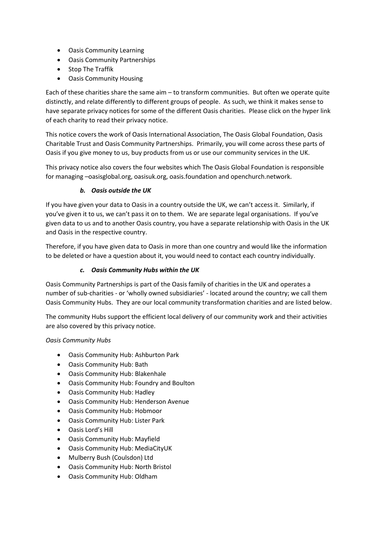- Oasis Community Learning
- Oasis Community Partnerships
- Stop The Traffik
- Oasis Community Housing

Each of these charities share the same aim – to transform communities. But often we operate quite distinctly, and relate differently to different groups of people. As such, we think it makes sense to have separate privacy notices for some of the different Oasis charities. Please click on the hyper link of each charity to read their privacy notice.

This notice covers the work of Oasis International Association, The Oasis Global Foundation, Oasis Charitable Trust and Oasis Community Partnerships. Primarily, you will come across these parts of Oasis if you give money to us, buy products from us or use our community services in the UK.

This privacy notice also covers the four websites which The Oasis Global Foundation is responsible for managing –oasisglobal.org, oasisuk.org, oasis.foundation and openchurch.network.

### *b. Oasis outside the UK*

If you have given your data to Oasis in a country outside the UK, we can't access it. Similarly, if you've given it to us, we can't pass it on to them. We are separate legal organisations. If you've given data to us and to another Oasis country, you have a separate relationship with Oasis in the UK and Oasis in the respective country.

Therefore, if you have given data to Oasis in more than one country and would like the information to be deleted or have a question about it, you would need to contact each country individually.

#### *c. Oasis Community Hubs within the UK*

Oasis Community Partnerships is part of the Oasis family of charities in the UK and operates a number of sub-charities - or 'wholly owned subsidiaries' - located around the country; we call them Oasis Community Hubs. They are our local community transformation charities and are listed below.

The community Hubs support the efficient local delivery of our community work and their activities are also covered by this privacy notice.

#### *Oasis Community Hubs*

- Oasis Community Hub: Ashburton Park
- Oasis Community Hub: Bath
- Oasis Community Hub: Blakenhale
- Oasis Community Hub: Foundry and Boulton
- Oasis Community Hub: Hadley
- Oasis Community Hub: Henderson Avenue
- Oasis Community Hub: Hobmoor
- Oasis Community Hub: Lister Park
- Oasis Lord's Hill
- Oasis Community Hub: Mayfield
- Oasis Community Hub: MediaCityUK
- Mulberry Bush (Coulsdon) Ltd
- Oasis Community Hub: North Bristol
- Oasis Community Hub: Oldham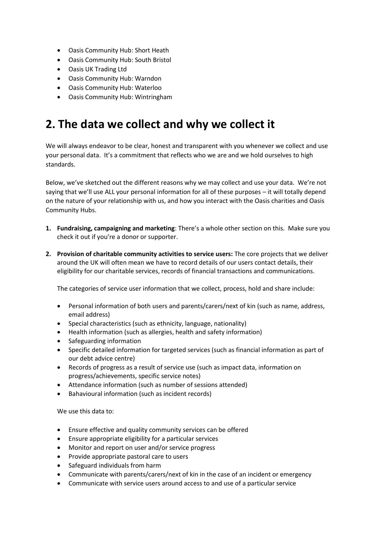- Oasis Community Hub: Short Heath
- Oasis Community Hub: South Bristol
- Oasis UK Trading Ltd
- Oasis Community Hub: Warndon
- Oasis Community Hub: Waterloo
- Oasis Community Hub: Wintringham

# **2. The data we collect and why we collect it**

We will always endeavor to be clear, honest and transparent with you whenever we collect and use your personal data. It's a commitment that reflects who we are and we hold ourselves to high standards.

Below, we've sketched out the different reasons why we may collect and use your data. We're not saying that we'll use ALL your personal information for all of these purposes – it will totally depend on the nature of your relationship with us, and how you interact with the Oasis charities and Oasis Community Hubs.

- **1. Fundraising, campaigning and marketing**: There's a whole other section on this. Make sure you check it out if you're a donor or supporter.
- **2. Provision of charitable community activities to service users:** The core projects that we deliver around the UK will often mean we have to record details of our users contact details, their eligibility for our charitable services, records of financial transactions and communications.

The categories of service user information that we collect, process, hold and share include:

- Personal information of both users and parents/carers/next of kin (such as name, address, email address)
- Special characteristics (such as ethnicity, language, nationality)
- Health information (such as allergies, health and safety information)
- Safeguarding information
- Specific detailed information for targeted services (such as financial information as part of our debt advice centre)
- Records of progress as a result of service use (such as impact data, information on progress/achievements, specific service notes)
- Attendance information (such as number of sessions attended)
- Bahavioural information (such as incident records)

We use this data to:

- Ensure effective and quality community services can be offered
- Ensure appropriate eligibility for a particular services
- Monitor and report on user and/or service progress
- Provide appropriate pastoral care to users
- Safeguard individuals from harm
- Communicate with parents/carers/next of kin in the case of an incident or emergency
- Communicate with service users around access to and use of a particular service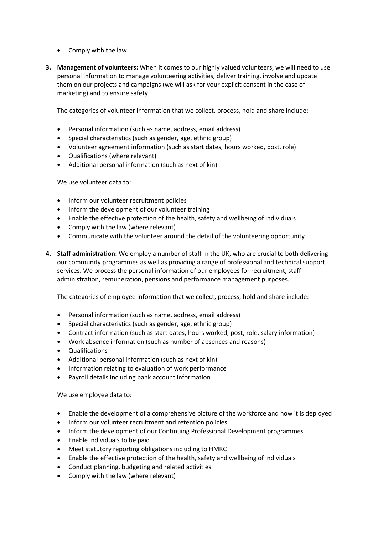- Comply with the law
- **3. Management of volunteers:** When it comes to our highly valued volunteers, we will need to use personal information to manage volunteering activities, deliver training, involve and update them on our projects and campaigns (we will ask for your explicit consent in the case of marketing) and to ensure safety.

The categories of volunteer information that we collect, process, hold and share include:

- Personal information (such as name, address, email address)
- Special characteristics (such as gender, age, ethnic group)
- Volunteer agreement information (such as start dates, hours worked, post, role)
- Qualifications (where relevant)
- Additional personal information (such as next of kin)

We use volunteer data to:

- Inform our volunteer recruitment policies
- Inform the development of our volunteer training
- Enable the effective protection of the health, safety and wellbeing of individuals
- Comply with the law (where relevant)
- Communicate with the volunteer around the detail of the volunteering opportunity
- **4. Staff administration:** We employ a number of staff in the UK, who are crucial to both delivering our community programmes as well as providing a range of professional and technical support services. We process the personal information of our employees for recruitment, staff administration, remuneration, pensions and performance management purposes.

The categories of employee information that we collect, process, hold and share include:

- Personal information (such as name, address, email address)
- Special characteristics (such as gender, age, ethnic group)
- Contract information (such as start dates, hours worked, post, role, salary information)
- Work absence information (such as number of absences and reasons)
- Qualifications
- Additional personal information (such as next of kin)
- Information relating to evaluation of work performance
- Payroll details including bank account information

We use employee data to:

- Enable the development of a comprehensive picture of the workforce and how it is deployed
- Inform our volunteer recruitment and retention policies
- Inform the development of our Continuing Professional Development programmes
- Enable individuals to be paid
- Meet statutory reporting obligations including to HMRC
- Enable the effective protection of the health, safety and wellbeing of individuals
- Conduct planning, budgeting and related activities
- Comply with the law (where relevant)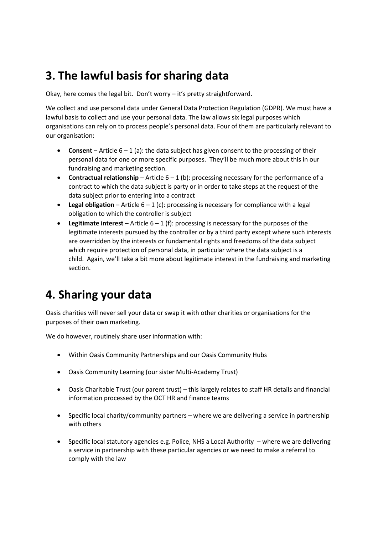# **3. The lawful basis for sharing data**

Okay, here comes the legal bit. Don't worry – it's pretty straightforward.

We collect and use personal data under General Data Protection Regulation (GDPR). We must have a lawful basis to collect and use your personal data. The law allows six legal purposes which organisations can rely on to process people's personal data. Four of them are particularly relevant to our organisation:

- **Consent** Article 6 1 (a): the data subject has given consent to the processing of their personal data for one or more specific purposes. They'll be much more about this in our fundraising and marketing section.
- **Contractual relationship** Article 6 1 (b): processing necessary for the performance of a contract to which the data subject is party or in order to take steps at the request of the data subject prior to entering into a contract
- **Legal obligation** Article  $6 1$  (c): processing is necessary for compliance with a legal obligation to which the controller is subject
- **Legitimate interest** Article 6 1 (f): processing is necessary for the purposes of the legitimate interests pursued by the controller or by a third party except where such interests are overridden by the interests or fundamental rights and freedoms of the data subject which require protection of personal data, in particular where the data subject is a child. Again, we'll take a bit more about legitimate interest in the fundraising and marketing section.

### **4. Sharing your data**

Oasis charities will never sell your data or swap it with other charities or organisations for the purposes of their own marketing.

We do however, routinely share user information with:

- Within Oasis Community Partnerships and our Oasis Community Hubs
- Oasis Community Learning (our sister Multi-Academy Trust)
- Oasis Charitable Trust (our parent trust) this largely relates to staff HR details and financial information processed by the OCT HR and finance teams
- Specific local charity/community partners where we are delivering a service in partnership with others
- Specific local statutory agencies e.g. Police, NHS a Local Authority where we are delivering a service in partnership with these particular agencies or we need to make a referral to comply with the law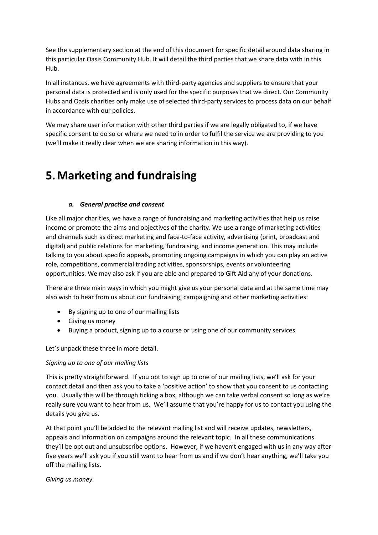See the supplementary section at the end of this document for specific detail around data sharing in this particular Oasis Community Hub. It will detail the third parties that we share data with in this Hub.

In all instances, we have agreements with third-party agencies and suppliers to ensure that your personal data is protected and is only used for the specific purposes that we direct. Our Community Hubs and Oasis charities only make use of selected third-party services to process data on our behalf in accordance with our policies.

We may share user information with other third parties if we are legally obligated to, if we have specific consent to do so or where we need to in order to fulfil the service we are providing to you (we'll make it really clear when we are sharing information in this way).

### **5.Marketing and fundraising**

#### *a. General practise and consent*

Like all major charities, we have a range of fundraising and marketing activities that help us raise income or promote the aims and objectives of the charity. We use a range of marketing activities and channels such as direct marketing and face-to-face activity, advertising (print, broadcast and digital) and public relations for marketing, fundraising, and income generation. This may include talking to you about specific appeals, promoting ongoing campaigns in which you can play an active role, competitions, commercial trading activities, sponsorships, events or volunteering opportunities. We may also ask if you are able and prepared to Gift Aid any of your donations.

There are three main ways in which you might give us your personal data and at the same time may also wish to hear from us about our fundraising, campaigning and other marketing activities:

- By signing up to one of our mailing lists
- Giving us money
- Buying a product, signing up to a course or using one of our community services

Let's unpack these three in more detail.

#### *Signing up to one of our mailing lists*

This is pretty straightforward. If you opt to sign up to one of our mailing lists, we'll ask for your contact detail and then ask you to take a 'positive action' to show that you consent to us contacting you. Usually this will be through ticking a box, although we can take verbal consent so long as we're really sure you want to hear from us. We'll assume that you're happy for us to contact you using the details you give us.

At that point you'll be added to the relevant mailing list and will receive updates, newsletters, appeals and information on campaigns around the relevant topic. In all these communications they'll be opt out and unsubscribe options. However, if we haven't engaged with us in any way after five years we'll ask you if you still want to hear from us and if we don't hear anything, we'll take you off the mailing lists.

#### *Giving us money*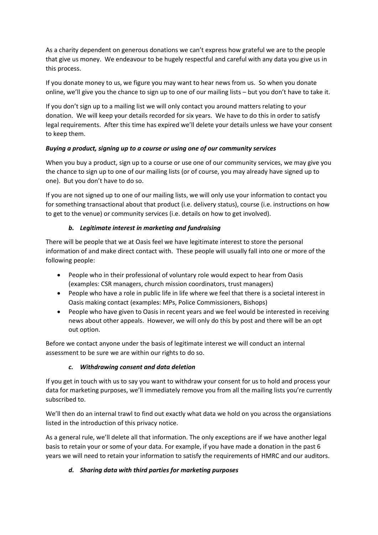As a charity dependent on generous donations we can't express how grateful we are to the people that give us money. We endeavour to be hugely respectful and careful with any data you give us in this process.

If you donate money to us, we figure you may want to hear news from us. So when you donate online, we'll give you the chance to sign up to one of our mailing lists – but you don't have to take it.

If you don't sign up to a mailing list we will only contact you around matters relating to your donation. We will keep your details recorded for six years. We have to do this in order to satisfy legal requirements. After this time has expired we'll delete your details unless we have your consent to keep them.

#### *Buying a product, signing up to a course or using one of our community services*

When you buy a product, sign up to a course or use one of our community services, we may give you the chance to sign up to one of our mailing lists (or of course, you may already have signed up to one). But you don't have to do so.

If you are not signed up to one of our mailing lists, we will only use your information to contact you for something transactional about that product (i.e. delivery status), course (i.e. instructions on how to get to the venue) or community services (i.e. details on how to get involved).

#### *b. Legitimate interest in marketing and fundraising*

There will be people that we at Oasis feel we have legitimate interest to store the personal information of and make direct contact with. These people will usually fall into one or more of the following people:

- People who in their professional of voluntary role would expect to hear from Oasis (examples: CSR managers, church mission coordinators, trust managers)
- People who have a role in public life in life where we feel that there is a societal interest in Oasis making contact (examples: MPs, Police Commissioners, Bishops)
- People who have given to Oasis in recent years and we feel would be interested in receiving news about other appeals. However, we will only do this by post and there will be an opt out option.

Before we contact anyone under the basis of legitimate interest we will conduct an internal assessment to be sure we are within our rights to do so.

#### *c. Withdrawing consent and data deletion*

If you get in touch with us to say you want to withdraw your consent for us to hold and process your data for marketing purposes, we'll immediately remove you from all the mailing lists you're currently subscribed to.

We'll then do an internal trawl to find out exactly what data we hold on you across the organsiations listed in the introduction of this privacy notice.

As a general rule, we'll delete all that information. The only exceptions are if we have another legal basis to retain your or some of your data. For example, if you have made a donation in the past 6 years we will need to retain your information to satisfy the requirements of HMRC and our auditors.

### *d. Sharing data with third parties for marketing purposes*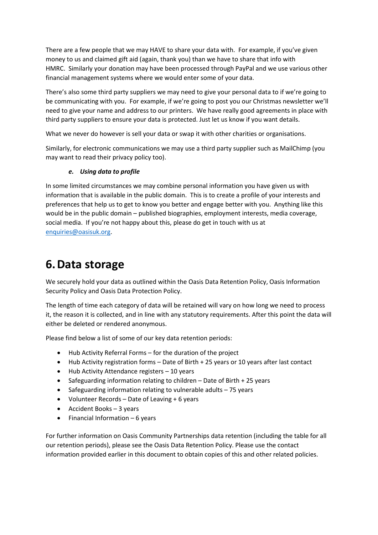There are a few people that we may HAVE to share your data with. For example, if you've given money to us and claimed gift aid (again, thank you) than we have to share that info with HMRC. Similarly your donation may have been processed through PayPal and we use various other financial management systems where we would enter some of your data.

There's also some third party suppliers we may need to give your personal data to if we're going to be communicating with you. For example, if we're going to post you our Christmas newsletter we'll need to give your name and address to our printers. We have really good agreements in place with third party suppliers to ensure your data is protected. Just let us know if you want details.

What we never do however is sell your data or swap it with other charities or organisations.

Similarly, for electronic communications we may use a third party supplier such as MailChimp (you may want to read their privacy policy too).

### *e. Using data to profile*

In some limited circumstances we may combine personal information you have given us with information that is available in the public domain. This is to create a profile of your interests and preferences that help us to get to know you better and engage better with you. Anything like this would be in the public domain – published biographies, employment interests, media coverage, social media. If you're not happy about this, please do get in touch with us at [enquiries@oasisuk.org.](mailto:enquiries@oasisuk.org)

## **6.Data storage**

We securely hold your data as outlined within the Oasis Data Retention Policy, Oasis Information Security Policy and Oasis Data Protection Policy.

The length of time each category of data will be retained will vary on how long we need to process it, the reason it is collected, and in line with any statutory requirements. After this point the data will either be deleted or rendered anonymous.

Please find below a list of some of our key data retention periods:

- Hub Activity Referral Forms for the duration of the project
- Hub Activity registration forms Date of Birth + 25 years or 10 years after last contact
- Hub Activity Attendance registers 10 years
- Safeguarding information relating to children Date of Birth + 25 years
- Safeguarding information relating to vulnerable adults 75 years
- Volunteer Records Date of Leaving + 6 years
- Accident Books 3 years
- Financial Information 6 years

For further information on Oasis Community Partnerships data retention (including the table for all our retention periods), please see the Oasis Data Retention Policy. Please use the contact information provided earlier in this document to obtain copies of this and other related policies.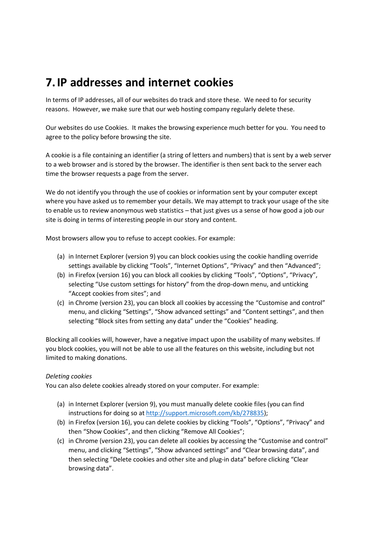### **7.IP addresses and internet cookies**

In terms of IP addresses, all of our websites do track and store these. We need to for security reasons. However, we make sure that our web hosting company regularly delete these.

Our websites do use Cookies. It makes the browsing experience much better for you. You need to agree to the policy before browsing the site.

A cookie is a file containing an identifier (a string of letters and numbers) that is sent by a web server to a web browser and is stored by the browser. The identifier is then sent back to the server each time the browser requests a page from the server.

We do not identify you through the use of cookies or information sent by your computer except where you have asked us to remember your details. We may attempt to track your usage of the site to enable us to review anonymous web statistics – that just gives us a sense of how good a job our site is doing in terms of interesting people in our story and content.

Most browsers allow you to refuse to accept cookies. For example:

- (a) in Internet Explorer (version 9) you can block cookies using the cookie handling override settings available by clicking "Tools", "Internet Options", "Privacy" and then "Advanced";
- (b) in Firefox (version 16) you can block all cookies by clicking "Tools", "Options", "Privacy", selecting "Use custom settings for history" from the drop-down menu, and unticking "Accept cookies from sites"; and
- (c) in Chrome (version 23), you can block all cookies by accessing the "Customise and control" menu, and clicking "Settings", "Show advanced settings" and "Content settings", and then selecting "Block sites from setting any data" under the "Cookies" heading.

Blocking all cookies will, however, have a negative impact upon the usability of many websites. If you block cookies, you will not be able to use all the features on this website, including but not limited to making donations.

#### *Deleting cookies*

You can also delete cookies already stored on your computer. For example:

- (a) in Internet Explorer (version 9), you must manually delete cookie files (you can find instructions for doing so at [http://support.microsoft.com/kb/278835\)](http://support.microsoft.com/kb/278835);
- (b) in Firefox (version 16), you can delete cookies by clicking "Tools", "Options", "Privacy" and then "Show Cookies", and then clicking "Remove All Cookies";
- (c) in Chrome (version 23), you can delete all cookies by accessing the "Customise and control" menu, and clicking "Settings", "Show advanced settings" and "Clear browsing data", and then selecting "Delete cookies and other site and plug-in data" before clicking "Clear browsing data".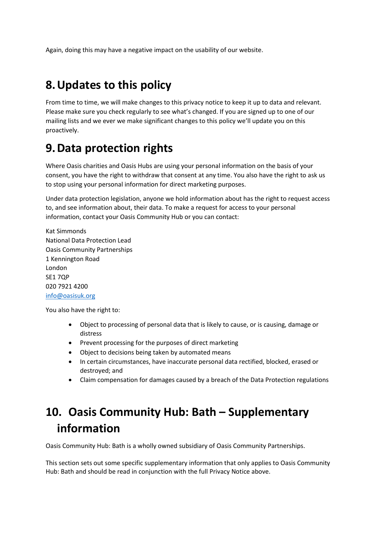Again, doing this may have a negative impact on the usability of our website.

# **8.Updates to this policy**

From time to time, we will make changes to this privacy notice to keep it up to data and relevant. Please make sure you check regularly to see what's changed. If you are signed up to one of our mailing lists and we ever we make significant changes to this policy we'll update you on this proactively.

### **9.Data protection rights**

Where Oasis charities and Oasis Hubs are using your personal information on the basis of your consent, you have the right to withdraw that consent at any time. You also have the right to ask us to stop using your personal information for direct marketing purposes.

Under data protection legislation, anyone we hold information about has the right to request access to, and see information about, their data. To make a request for access to your personal information, contact your Oasis Community Hub or you can contact:

Kat Simmonds National Data Protection Lead Oasis Community Partnerships 1 Kennington Road London SE1 7QP 020 7921 4200 [info@oasisuk.org](mailto:info@oasisuk.org)

You also have the right to:

- Object to processing of personal data that is likely to cause, or is causing, damage or distress
- Prevent processing for the purposes of direct marketing
- Object to decisions being taken by automated means
- In certain circumstances, have inaccurate personal data rectified, blocked, erased or destroyed; and
- Claim compensation for damages caused by a breach of the Data Protection regulations

# **10. Oasis Community Hub: Bath – Supplementary information**

Oasis Community Hub: Bath is a wholly owned subsidiary of Oasis Community Partnerships.

This section sets out some specific supplementary information that only applies to Oasis Community Hub: Bath and should be read in conjunction with the full Privacy Notice above.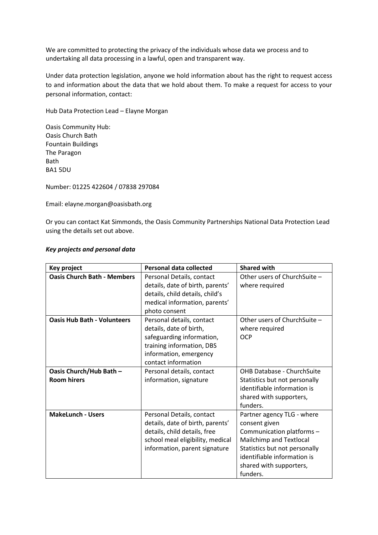We are committed to protecting the privacy of the individuals whose data we process and to undertaking all data processing in a lawful, open and transparent way.

Under data protection legislation, anyone we hold information about has the right to request access to and information about the data that we hold about them. To make a request for access to your personal information, contact:

Hub Data Protection Lead – Elayne Morgan

Oasis Community Hub: Oasis Church Bath Fountain Buildings The Paragon Bath BA1 5DU

Number: 01225 422604 / 07838 297084

Email: elayne.morgan@oasisbath.org

Or you can contact Kat Simmonds, the Oasis Community Partnerships National Data Protection Lead using the details set out above.

#### *Key projects and personal data*

| Key project                                   | <b>Personal data collected</b>                                                                                                                                     | <b>Shared with</b>                                                                                                                                                                                         |
|-----------------------------------------------|--------------------------------------------------------------------------------------------------------------------------------------------------------------------|------------------------------------------------------------------------------------------------------------------------------------------------------------------------------------------------------------|
| <b>Oasis Church Bath - Members</b>            | Personal Details, contact<br>details, date of birth, parents'<br>details, child details, child's<br>medical information, parents'<br>photo consent                 | Other users of ChurchSuite -<br>where required                                                                                                                                                             |
| <b>Oasis Hub Bath - Volunteers</b>            | Personal details, contact<br>details, date of birth,<br>safeguarding information,<br>training information, DBS<br>information, emergency<br>contact information    | Other users of ChurchSuite -<br>where required<br><b>OCP</b>                                                                                                                                               |
| Oasis Church/Hub Bath -<br><b>Room hirers</b> | Personal details, contact<br>information, signature                                                                                                                | <b>OHB Database - ChurchSuite</b><br>Statistics but not personally<br>identifiable information is<br>shared with supporters,<br>funders.                                                                   |
| <b>MakeLunch - Users</b>                      | Personal Details, contact<br>details, date of birth, parents'<br>details, child details, free<br>school meal eligibility, medical<br>information, parent signature | Partner agency TLG - where<br>consent given<br>Communication platforms -<br>Mailchimp and Textlocal<br>Statistics but not personally<br>identifiable information is<br>shared with supporters,<br>funders. |